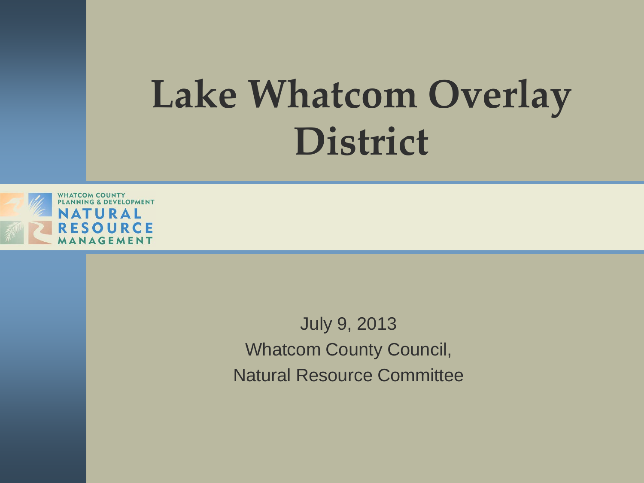### **Lake Whatcom Overlay District**



July 9, 2013 Whatcom County Council, Natural Resource Committee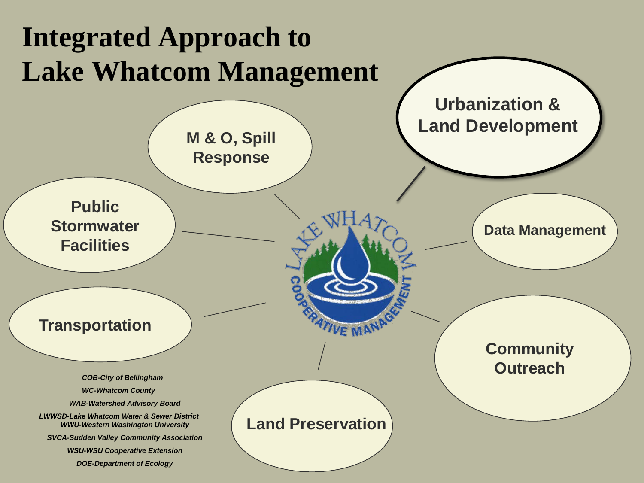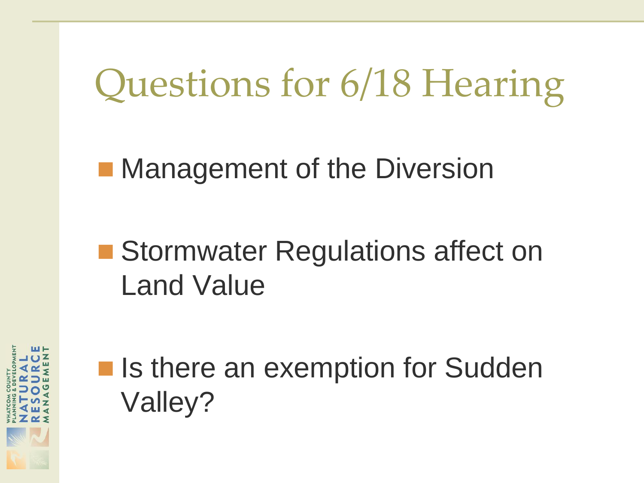Questions for 6/18 Hearing

**Nanagement of the Diversion** 

#### ■ Stormwater Regulations affect on Land Value



■ Is there an exemption for Sudden Valley?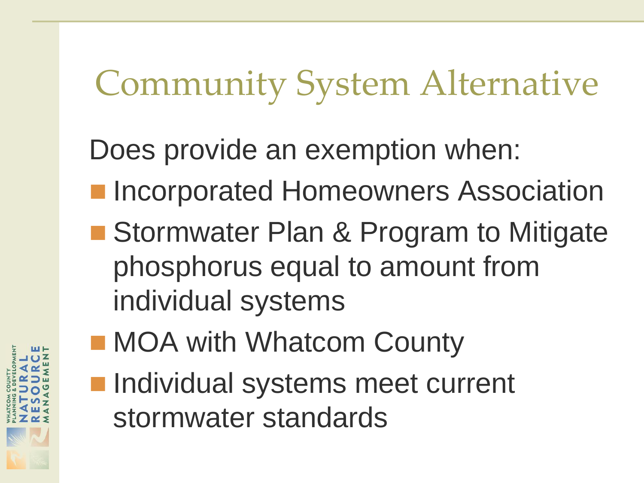Community System Alternative

Does provide an exemption when:

- **Incorporated Homeowners Association**
- Stormwater Plan & Program to Mitigate phosphorus equal to amount from individual systems
- **MOA with Whatcom County**
- **Individual systems meet current** stormwater standards

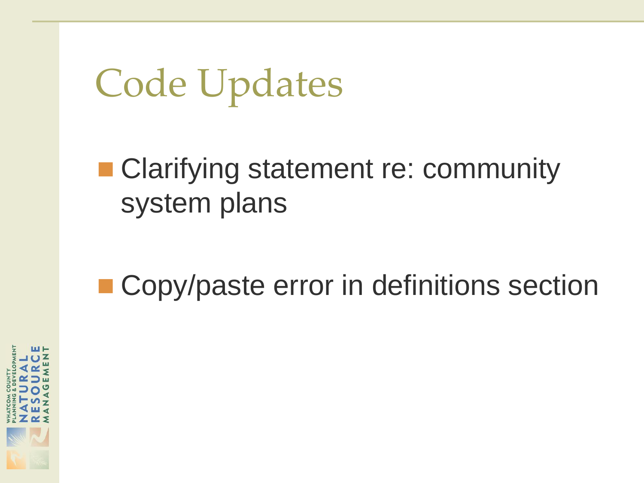## Code Updates

#### ■ Clarifying statement re: community system plans

#### ■ Copy/paste error in definitions section

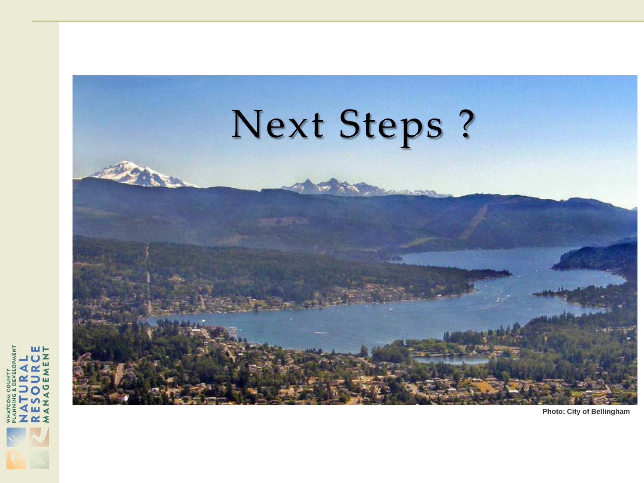

**Photo: City of Bellingham**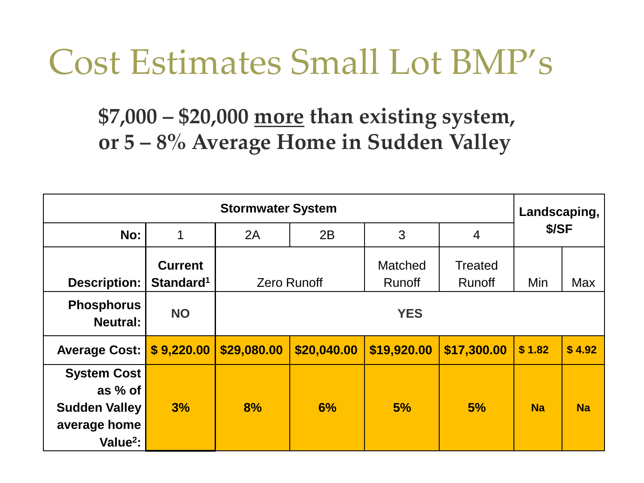### Cost Estimates Small Lot BMP's

**\$7,000 – \$20,000 more than existing system, or 5 – 8% Average Home in Sudden Valley**

| <b>Stormwater System</b>                                                                      |                                         |             |                    |                                 |                                 | Landscaping, |           |
|-----------------------------------------------------------------------------------------------|-----------------------------------------|-------------|--------------------|---------------------------------|---------------------------------|--------------|-----------|
| No:                                                                                           | 1                                       | 2A          | 2B                 | 3                               | $\overline{4}$                  | \$/SF        |           |
| <b>Description:</b>                                                                           | <b>Current</b><br>Standard <sup>1</sup> |             | <b>Zero Runoff</b> | <b>Matched</b><br><b>Runoff</b> | <b>Treated</b><br><b>Runoff</b> | Min          | Max       |
| <b>Phosphorus</b><br><b>Neutral:</b>                                                          | <b>NO</b>                               | <b>YES</b>  |                    |                                 |                                 |              |           |
| <b>Average Cost:</b>                                                                          | \$9,220.00                              | \$29,080.00 | \$20,040.00        | \$19,920.00                     | \$17,300.00                     | \$1.82       | \$4.92    |
| <b>System Cost</b><br>as % of<br><b>Sudden Valley</b><br>average home<br>Value <sup>2</sup> : | 3%                                      | 8%          | 6%                 | 5%                              | 5%                              | <b>Na</b>    | <b>Na</b> |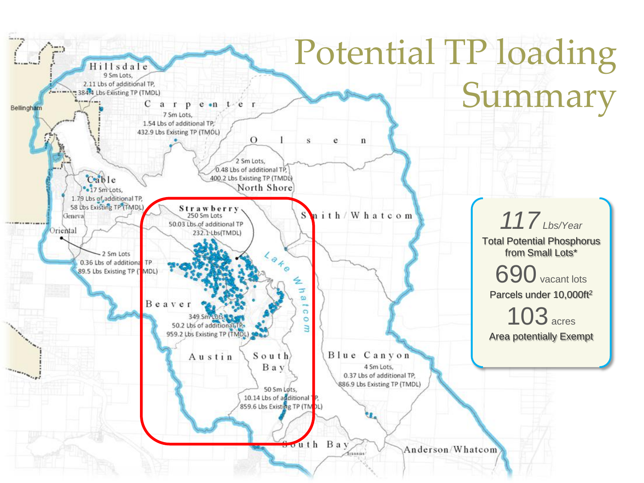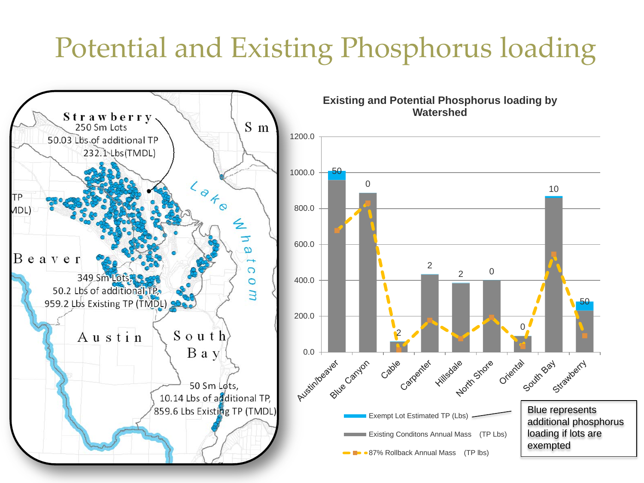#### Potential and Existing Phosphorus loading